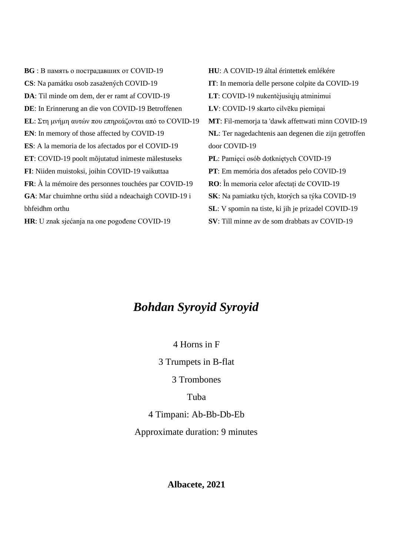**BG** : В память о пострадавших от COVID-19 **CS**: Na památku osob zasažených COVID-19 **DA**: Til minde om dem, der er ramt af COVID-19 **DE**: In Erinnerung an die von COVID-19 Betroffenen **EL**: Στη μνήμη αυτών που επηρεάζονται από το COVID-19 **EN**: In memory of those affected by COVID-19 **ES**: A la memoria de los afectados por el COVID-19 **ET**: COVID-19 poolt mõjutatud inimeste mälestuseks **FI**: Niiden muistoksi, joihin COVID-19 vaikuttaa **FR**: À la mémoire des personnes touchées par COVID-19 **GA**: Mar chuimhne orthu siúd a ndeachaigh COVID-19 i bhfeidhm orthu **HU**: A COVID-19 által érintettek emlékére **IT**: In memoria delle persone colpite da COVID-19 **LT**: COVID-19 nukentėjusiųjų atminimui **LV**: COVID-19 skarto cilvēku piemiņai **MT**: Fil-memorja ta 'dawk affettwati minn COVID-19 **NL**: Ter nagedachtenis aan degenen die zijn getroffen door COVID-19 **PL**: Pamięci osób dotkniętych COVID-19 **PT**: Em memória dos afetados pelo COVID-19 **RO**: În memoria celor afectați de COVID-19 **SK**: Na pamiatku tých, ktorých sa týka COVID-19 **SL**: V spomin na tiste, ki jih je prizadel COVID-19 **SV**: Till minne av de som drabbats av COVID-19

**HR**: U znak sjećanja na one pogođene COVID-19

*Bohdan Syroyid Syroyid*

4 Horns in F

3 Trumpets in B-flat

3 Trombones

Tuba

4 Timpani: Ab-Bb-Db-Eb

Approximate duration: 9 minutes

**Albacete, 2021**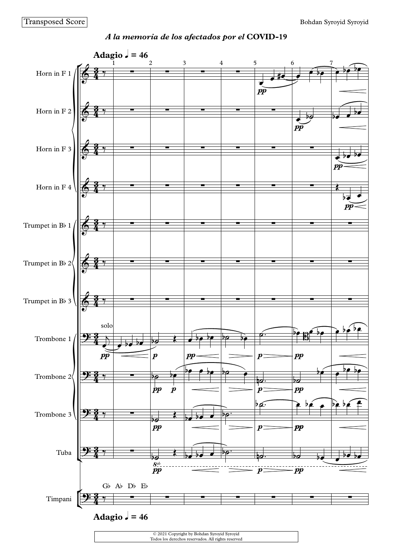

*A la memoria de los afectados por el* **COVID-19**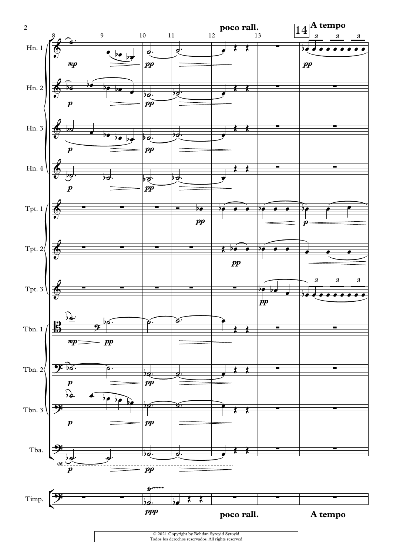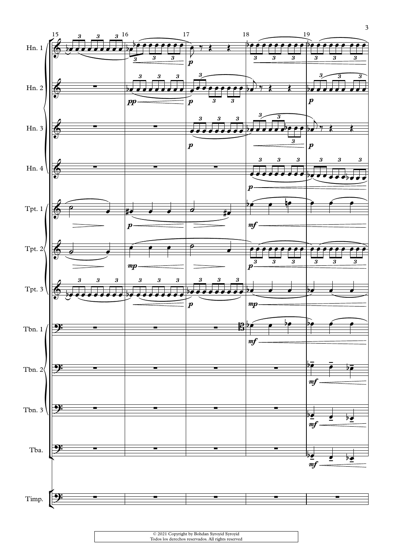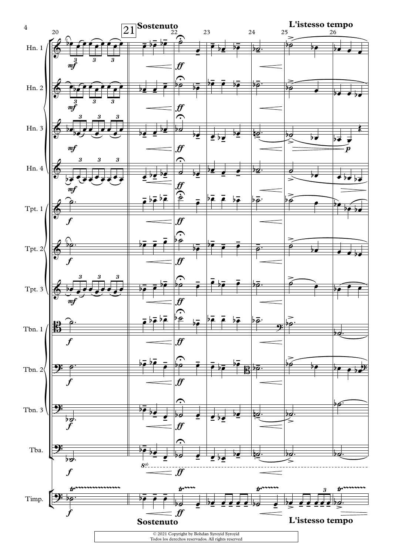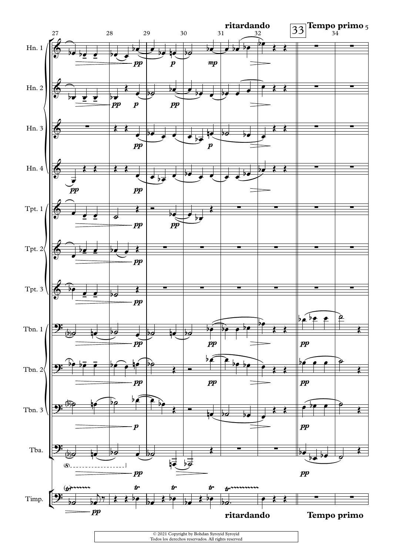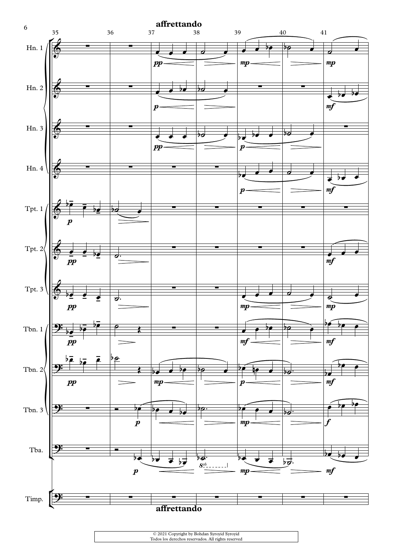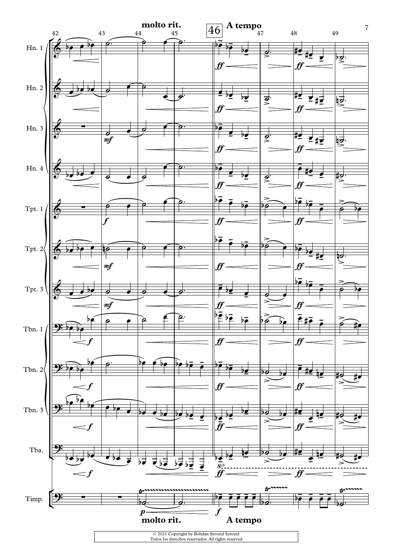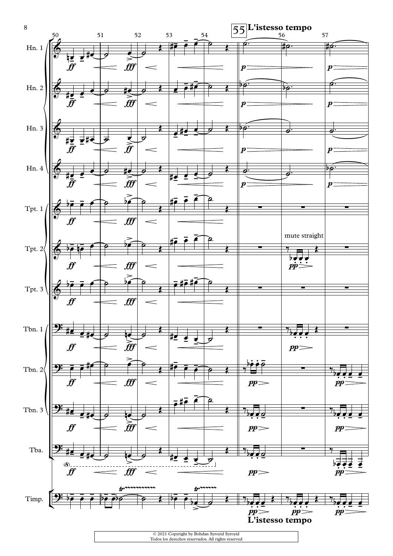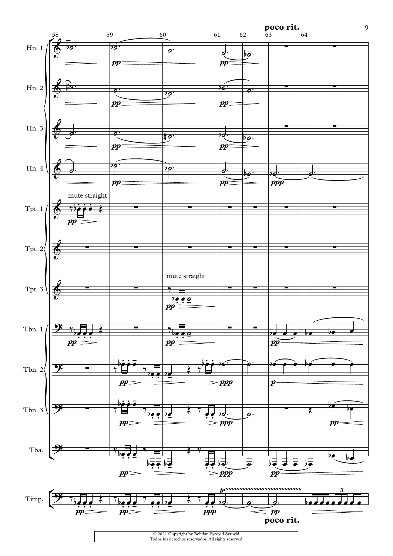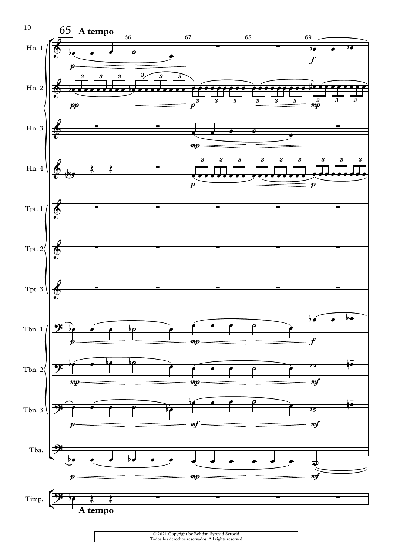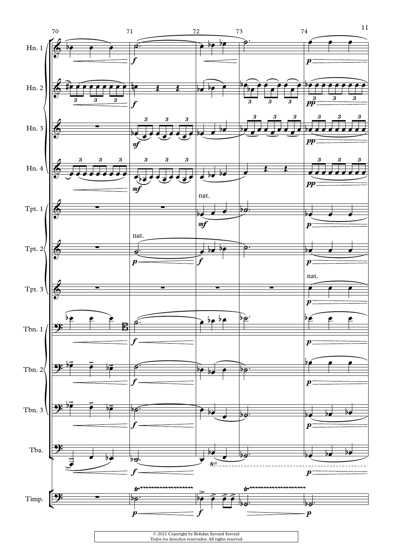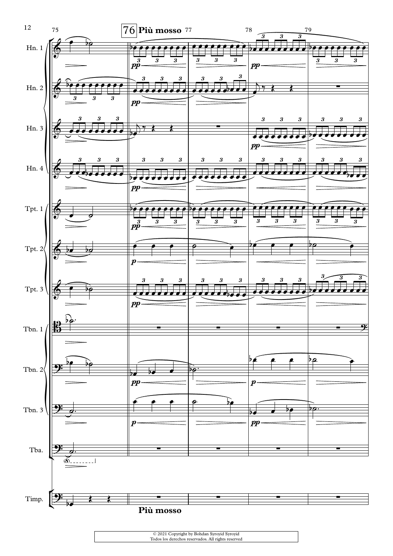

| © 2021 Copyright by Bohdan Syroyid Syroyid         |  |
|----------------------------------------------------|--|
| Todos los derechos reservados. All rights reserved |  |
|                                                    |  |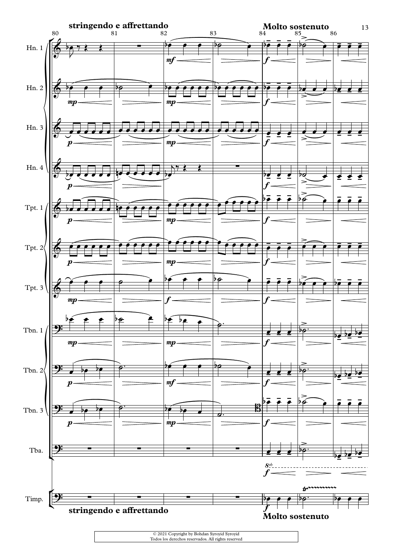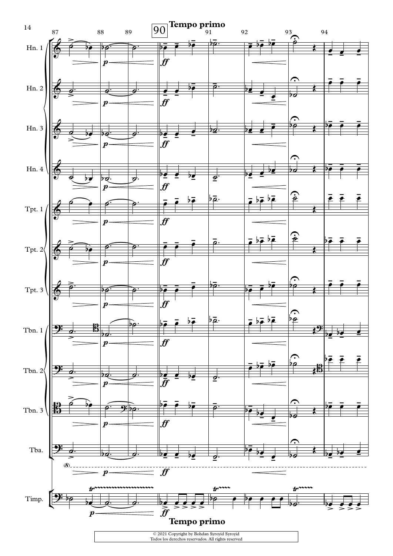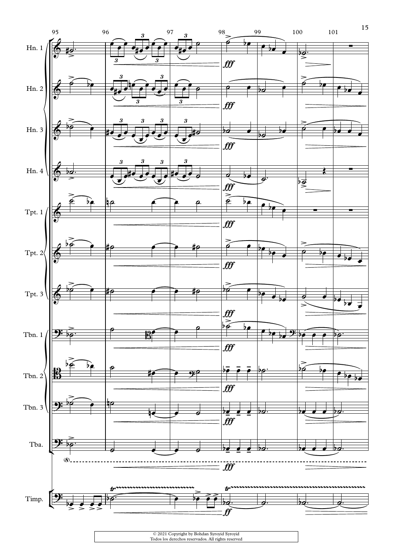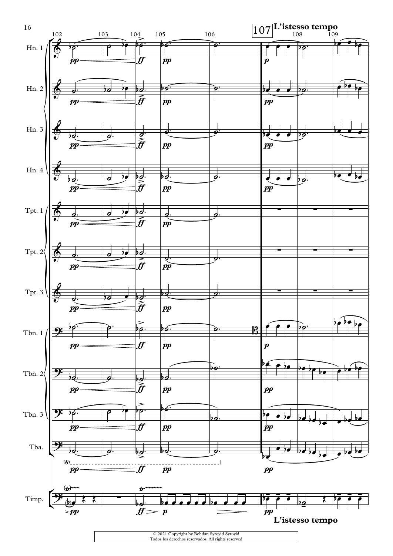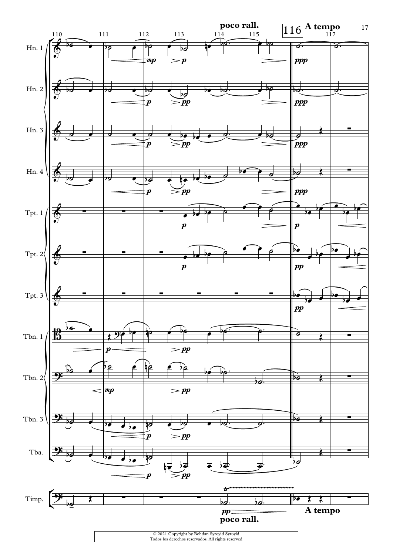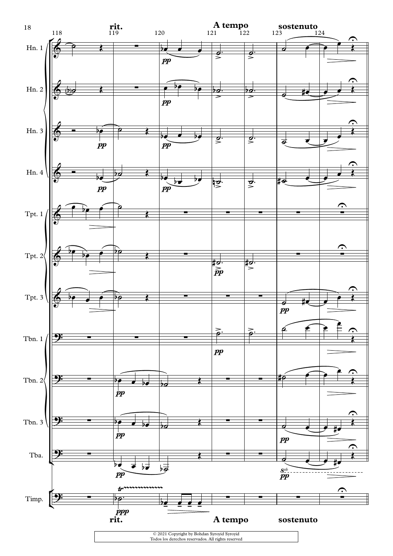